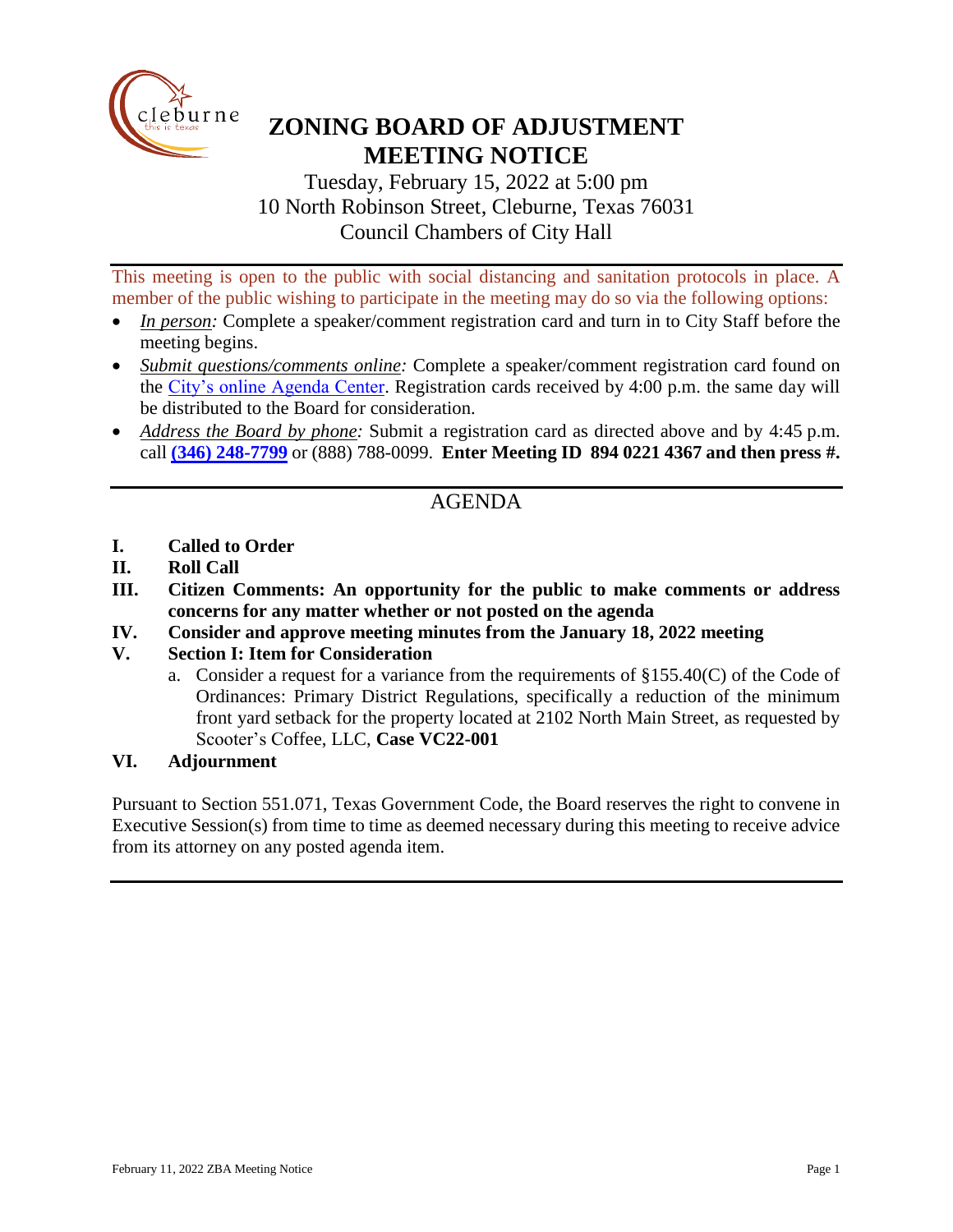

# **ZONING BOARD OF ADJUSTMENT MEETING NOTICE**

Tuesday, February 15, 2022 at 5:00 pm 10 North Robinson Street, Cleburne, Texas 76031 Council Chambers of City Hall

This meeting is open to the public with social distancing and sanitation protocols in place. A member of the public wishing to participate in the meeting may do so via the following options:

- *In person:* Complete a speaker/comment registration card and turn in to City Staff before the meeting begins.
- *Submit questions/comments online:* Complete a speaker/comment registration card found on the [City's online Agenda Center.](https://www.cleburne.net/agendacenter) Registration cards received by 4:00 p.m. the same day will be distributed to the Board for consideration.
- *Address the Board by phone:* Submit a registration card as directed above and by 4:45 p.m. call **(346) [248-7799](tel:+13127573117,,477307821)** or (888) 788-0099. **Enter Meeting ID 894 0221 4367 and then press #.**

## AGENDA

- **I. Called to Order**
- **II. Roll Call**
- **III. Citizen Comments: An opportunity for the public to make comments or address concerns for any matter whether or not posted on the agenda**
- **IV. Consider and approve meeting minutes from the January 18, 2022 meeting**

#### **V. Section I: Item for Consideration**

a. Consider a request for a variance from the requirements of  $\S 155.40(C)$  of the Code of Ordinances: Primary District Regulations, specifically a reduction of the minimum front yard setback for the property located at 2102 North Main Street, as requested by Scooter's Coffee, LLC, **Case VC22-001**

#### **VI. Adjournment**

Pursuant to Section 551.071, Texas Government Code, the Board reserves the right to convene in Executive Session(s) from time to time as deemed necessary during this meeting to receive advice from its attorney on any posted agenda item.